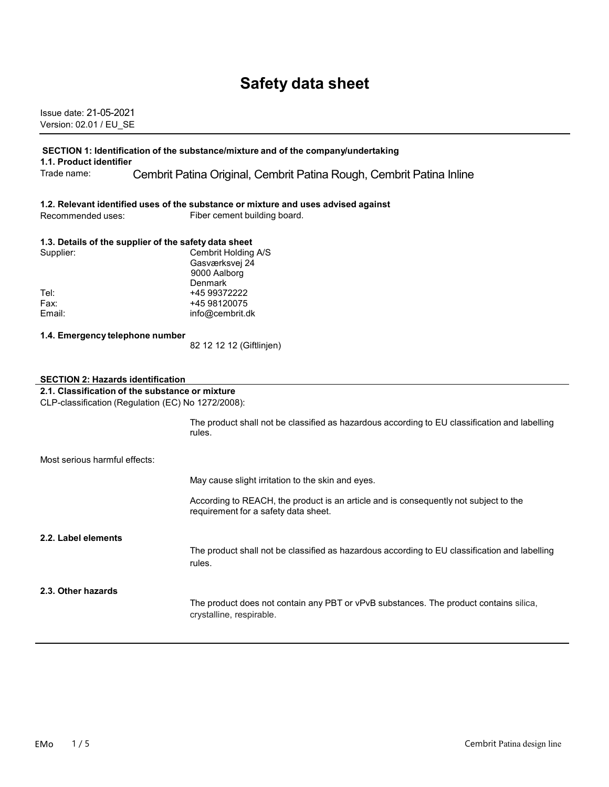# **Safety data sheet**

Issue date: 21-05-2021 Version: 02.01 / EU\_SE

#### **SECTION 1: Identification of the substance/mixture and of the company/undertaking 1.1. Product identifier**

Trade name: Cembrit Patina Original, Cembrit Patina Rough, Cembrit Patina Inline

#### **1.2. Relevant identified uses of the substance or mixture and uses advised against**

Recommended uses: Fiber cement building board.

### **1.3. Details of the supplier of the safety data sheet**

| Supplier: | Cembrit Holding A/S |
|-----------|---------------------|
|           | Gasværksvej 24      |
|           | 9000 Aalborg        |
|           | Denmark             |
| Tel:      | +45 99372222        |
| Fax:      | +45 98120075        |
| Email:    | info@cembrit.dk     |

#### **1.4. Emergency telephone number**

82 12 12 12 (Giftlinjen)

#### **SECTION 2: Hazards identification**

**2.1. Classification of the substance or mixture**

CLP-classification (Regulation (EC) No 1272/2008):

The product shall not be classified as hazardous according to EU classification and labelling rules.

May cause slight irritation to the skin and eyes.

According to REACH, the product is an article and is consequently not subject to the requirement for a safety data sheet.

#### **2.2. Label elements**

The product shall not be classified as hazardous according to EU classification and labelling rules.

#### **2.3. Other hazards**

The product does not contain any PBT or vPvB substances. The product contains silica, crystalline, respirable.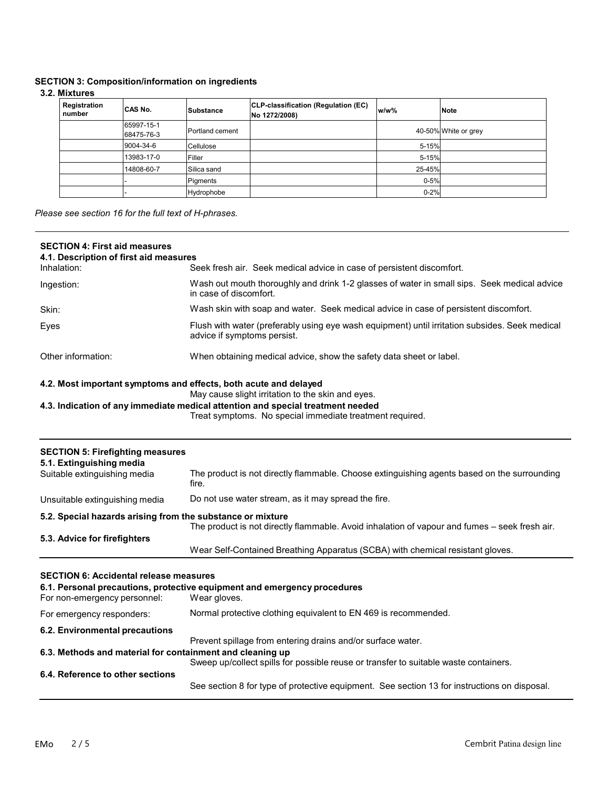# **SECTION 3: Composition/information on ingredients**

# **3.2. Mixtures**

| <b>Registration</b><br>number | CAS No.                  | Substance       | CLP-classification (Regulation (EC)<br>No 1272/2008) | $w/w$ %  | <b>Note</b>          |
|-------------------------------|--------------------------|-----------------|------------------------------------------------------|----------|----------------------|
|                               | 65997-15-1<br>68475-76-3 | Portland cement |                                                      |          | 40-50% White or grey |
|                               | 9004-34-6                | Cellulose       |                                                      | 5-15%    |                      |
|                               | 13983-17-0               | Filler          |                                                      | 5-15%    |                      |
|                               | 14808-60-7               | Silica sand     |                                                      | 25-45%   |                      |
|                               |                          | Pigments        |                                                      | $0 - 5%$ |                      |
|                               |                          | Hydrophobe      |                                                      | $0 - 2%$ |                      |

*Please see section 16 for the full text of H-phrases.*

| <b>SECTION 4: First aid measures</b>                                |                                                                                                                                             |
|---------------------------------------------------------------------|---------------------------------------------------------------------------------------------------------------------------------------------|
| 4.1. Description of first aid measures<br>Inhalation:               | Seek fresh air. Seek medical advice in case of persistent discomfort.                                                                       |
| Ingestion:                                                          | Wash out mouth thoroughly and drink 1-2 glasses of water in small sips. Seek medical advice<br>in case of discomfort.                       |
| Skin:                                                               | Wash skin with soap and water. Seek medical advice in case of persistent discomfort.                                                        |
| Eyes                                                                | Flush with water (preferably using eye wash equipment) until irritation subsides. Seek medical<br>advice if symptoms persist.               |
| Other information:                                                  | When obtaining medical advice, show the safety data sheet or label.                                                                         |
| 4.2. Most important symptoms and effects, both acute and delayed    | May cause slight irritation to the skin and eyes.                                                                                           |
|                                                                     | 4.3. Indication of any immediate medical attention and special treatment needed<br>Treat symptoms. No special immediate treatment required. |
| <b>SECTION 5: Firefighting measures</b><br>5.1. Extinguishing media |                                                                                                                                             |
| Suitable extinguishing media                                        | The product is not directly flammable. Choose extinguishing agents based on the surrounding<br>fire.                                        |
| Unsuitable extinguishing media                                      | Do not use water stream, as it may spread the fire.                                                                                         |
| 5.2. Special hazards arising from the substance or mixture          | The product is not directly flammable. Avoid inhalation of vapour and fumes - seek fresh air.                                               |
| 5.3. Advice for firefighters                                        | Wear Self-Contained Breathing Apparatus (SCBA) with chemical resistant gloves.                                                              |
| <b>SECTION 6: Accidental release measures</b>                       |                                                                                                                                             |
| For non-emergency personnel:                                        | 6.1. Personal precautions, protective equipment and emergency procedures<br>Wear gloves.                                                    |
| For emergency responders:                                           | Normal protective clothing equivalent to EN 469 is recommended.                                                                             |
| 6.2. Environmental precautions                                      |                                                                                                                                             |
| 6.3. Methods and material for containment and cleaning up           | Prevent spillage from entering drains and/or surface water.                                                                                 |
| 6.4. Reference to other sections                                    | Sweep up/collect spills for possible reuse or transfer to suitable waste containers.                                                        |
|                                                                     | See section 8 for type of protective equipment. See section 13 for instructions on disposal.                                                |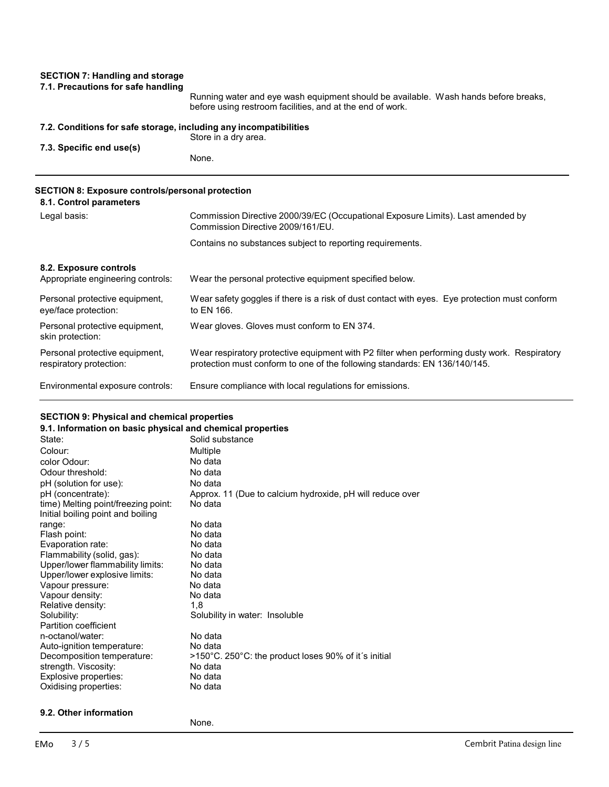### **SECTION 7: Handling and storage 7.1. Precautions for safe handling**

Running water and eye wash equipment should be available. Wash hands before breaks, before using restroom facilities, and at the end of work.

### **7.2. Conditions for safe storage, including any incompatibilities**

Store in a dry area. **7.3. Specific end use(s)** None.

# **SECTION 8: Exposure controls/personal protection**

| 8.1. Control parameters                                     |                                                                                                                                                                            |
|-------------------------------------------------------------|----------------------------------------------------------------------------------------------------------------------------------------------------------------------------|
| Legal basis:                                                | Commission Directive 2000/39/EC (Occupational Exposure Limits). Last amended by<br>Commission Directive 2009/161/EU.                                                       |
|                                                             | Contains no substances subject to reporting requirements.                                                                                                                  |
| 8.2. Exposure controls<br>Appropriate engineering controls: | Wear the personal protective equipment specified below.                                                                                                                    |
| Personal protective equipment,<br>eye/face protection:      | Wear safety goggles if there is a risk of dust contact with eyes. Eye protection must conform<br>to EN 166.                                                                |
| Personal protective equipment,<br>skin protection:          | Wear gloves. Gloves must conform to EN 374.                                                                                                                                |
| Personal protective equipment,<br>respiratory protection:   | Wear respiratory protective equipment with P2 filter when performing dusty work. Respiratory<br>protection must conform to one of the following standards: EN 136/140/145. |
| Environmental exposure controls:                            | Ensure compliance with local regulations for emissions.                                                                                                                    |

### **SECTION 9: Physical and chemical properties**

| 9.1. Information on basic physical and chemical properties |                                                           |
|------------------------------------------------------------|-----------------------------------------------------------|
| State:                                                     | Solid substance                                           |
| Colour:                                                    | Multiple                                                  |
| color Odour:                                               | No data                                                   |
| Odour threshold:                                           | No data                                                   |
| pH (solution for use):                                     | No data                                                   |
| pH (concentrate):                                          | Approx. 11 (Due to calcium hydroxide, pH will reduce over |
| time) Melting point/freezing point:                        | No data                                                   |
| Initial boiling point and boiling                          |                                                           |
| range:                                                     | No data                                                   |
| Flash point:                                               | No data                                                   |
| Evaporation rate:                                          | No data                                                   |
| Flammability (solid, gas):                                 | No data                                                   |
| Upper/lower flammability limits:                           | No data                                                   |
| Upper/lower explosive limits:                              | No data                                                   |
| Vapour pressure:                                           | No data                                                   |
| Vapour density:                                            | No data                                                   |
| Relative density:                                          | 1.8                                                       |
| Solubility:                                                | Solubility in water: Insoluble                            |
| Partition coefficient                                      |                                                           |
| n-octanol/water:                                           | No data                                                   |
| Auto-ignition temperature:                                 | No data                                                   |
| Decomposition temperature:                                 | >150°C. 250°C: the product loses 90% of it's initial      |
| strength. Viscosity:                                       | No data                                                   |
| Explosive properties:                                      | No data                                                   |
| Oxidising properties:                                      | No data                                                   |

### **9.2. Other information**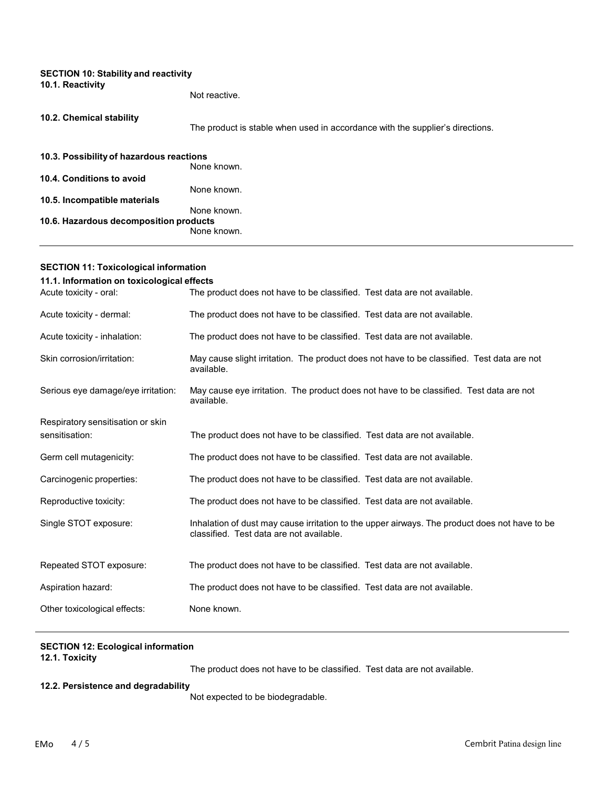| <b>SECTION 10: Stability and reactivity</b><br>10.1. Reactivity |                                                                               |
|-----------------------------------------------------------------|-------------------------------------------------------------------------------|
|                                                                 | Not reactive.                                                                 |
| 10.2. Chemical stability                                        | The product is stable when used in accordance with the supplier's directions. |
| 10.3. Possibility of hazardous reactions                        | None known.                                                                   |
| 10.4. Conditions to avoid                                       |                                                                               |
|                                                                 | None known.                                                                   |
| 10.5. Incompatible materials                                    | None known.                                                                   |
| 10.6. Hazardous decomposition products                          | None known.                                                                   |

| 11.1. Information on toxicological effects |                                                                                                                                           |  |
|--------------------------------------------|-------------------------------------------------------------------------------------------------------------------------------------------|--|
| Acute toxicity - oral:                     | The product does not have to be classified. Test data are not available.                                                                  |  |
| Acute toxicity - dermal:                   | The product does not have to be classified. Test data are not available.                                                                  |  |
| Acute toxicity - inhalation:               | The product does not have to be classified. Test data are not available.                                                                  |  |
| Skin corrosion/irritation:                 | May cause slight irritation. The product does not have to be classified. Test data are not<br>available.                                  |  |
| Serious eye damage/eye irritation:         | May cause eye irritation. The product does not have to be classified. Test data are not<br>available.                                     |  |
| Respiratory sensitisation or skin          |                                                                                                                                           |  |
| sensitisation:                             | The product does not have to be classified. Test data are not available.                                                                  |  |
| Germ cell mutagenicity:                    | The product does not have to be classified. Test data are not available.                                                                  |  |
| Carcinogenic properties:                   | The product does not have to be classified. Test data are not available.                                                                  |  |
| Reproductive toxicity:                     | The product does not have to be classified. Test data are not available.                                                                  |  |
| Single STOT exposure:                      | Inhalation of dust may cause irritation to the upper airways. The product does not have to be<br>classified. Test data are not available. |  |
| Repeated STOT exposure:                    | The product does not have to be classified. Test data are not available.                                                                  |  |
| Aspiration hazard:                         | The product does not have to be classified. Test data are not available.                                                                  |  |
| Other toxicological effects:               | None known.                                                                                                                               |  |

### **SECTION 12: Ecological information 12.1. Toxicity**

**SECTION 11: Toxicological information**

The product does not have to be classified. Test data are not available.

## **12.2. Persistence and degradability**

Not expected to be biodegradable.